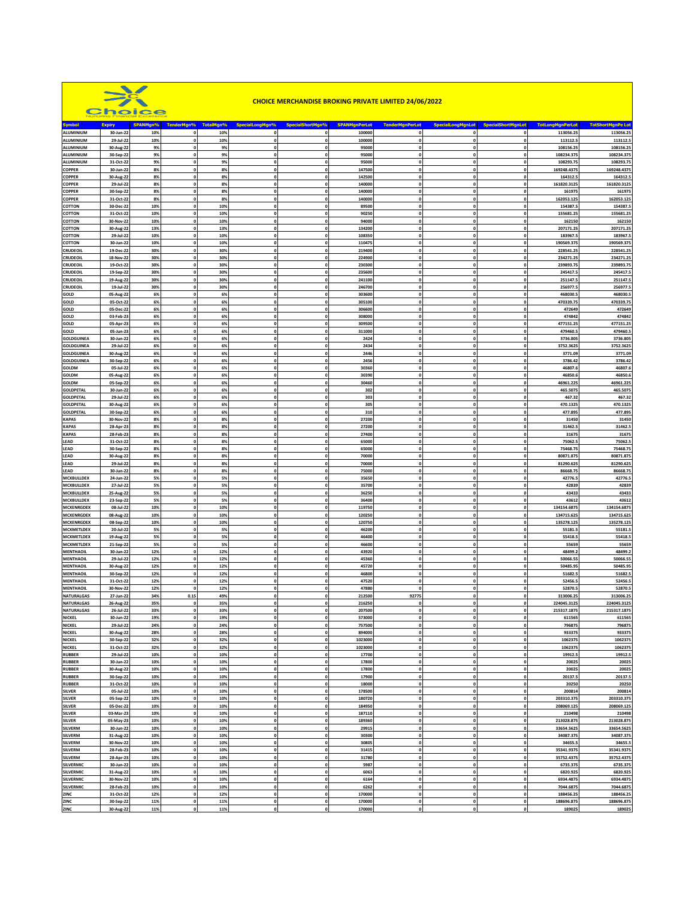|                                        | $\Rightarrow$              | <b>Choice</b> |                                |            |                              | <b>CHOICE MERCHANDISE BROKING PRIVATE LIMITED 24/06/2022</b> |                                |                              |                                    |                            |                                      |                           |
|----------------------------------------|----------------------------|---------------|--------------------------------|------------|------------------------------|--------------------------------------------------------------|--------------------------------|------------------------------|------------------------------------|----------------------------|--------------------------------------|---------------------------|
|                                        |                            | SPANMgn%      | TenderMgn%                     | TotalMgn%  | SpecialLongMgn%              |                                                              |                                | <b>TenderMgnPerLot</b>       | <b>SpecialLongMgnLot</b>           | <b>SpecialShortMgnLot</b>  |                                      | <b>TotShortMgnPe Lot</b>  |
| <b>Symbol</b><br><b>ALUMINIUM</b>      | <b>Expiry</b><br>30-Jun-22 | 10%           | $\mathbf 0$                    | 10%        | $\Omega$                     | SpecialShortMgn%<br>$\mathbf{o}$                             | <b>SPANMgnPerLot</b><br>100000 | $\circ$                      | $\mathbf{0}$                       | $\Omega$                   | <b>TotLongMgnPerLot</b><br>113056.25 | 113056.25                 |
| ALUMINIUM                              | 29-Jul-22                  | 10%           | $\mathbf 0$                    | 10%        |                              | $\pmb{0}$                                                    | 100000                         | $\mathbf{o}$                 | $\mathbf{0}$                       |                            | 113112.                              | 113112.5                  |
| ALUMINIUM                              | 30-Aug-22                  | 9%            | o                              | 9%         |                              | $\mathbf 0$                                                  | 95000                          | $\circ$                      | $\pmb{0}$                          |                            | 108156.25                            | 108156.25                 |
| ALUMINIUM                              | 30-Sep-22                  | 9%            | o                              | 9%         | $\mathbf 0$                  | $\mathbf 0$                                                  | 95000                          | $\mathbf{o}$                 | $\mathbf{o}$                       | $\mathbf{0}$               | 108234.375                           | 108234.375                |
| <b>ALUMINIUM</b>                       | 31-Oct-22                  | 9%            |                                | 9%         |                              | $\pmb{0}$                                                    | 95000                          | $\mathbf 0$                  | $\pmb{0}$                          |                            | 108293.75                            | 108293.75                 |
| <b>COPPER</b>                          | 30-Jun-22                  | 8%            | $\mathbf 0$                    | 8%         |                              | $\mathbf{0}$                                                 | 147500                         | $\mathbf{o}$                 | $\mathbf{o}$                       |                            | 169248.4375                          | 169248.4375               |
| <b>COPPER</b><br><b>COPPER</b>         | 30-Aug-22<br>29-Jul-22     | 8%<br>8%      | $\mathbf{0}$<br>$\mathfrak{a}$ | 8%<br>8%   | $\mathbf{0}$                 | $\mathbf{o}$<br>$\mathbf{0}$                                 | 142500<br>140000               | $\circ$<br>$\Omega$          | $\mathbf{o}$<br>$\mathbf{0}$       | $\Omega$                   | 164312.5<br>161820.3125              | 164312.5<br>161820.3125   |
| <b>COPPER</b>                          | 30-Sep-22                  | 8%            |                                | 8%         |                              | $\pmb{\mathsf{o}}$                                           | 140000                         | $\mathbf{o}$                 | $\mathbf{o}$                       |                            | 161975                               | 161975                    |
| <b>COPPER</b>                          | 31-Oct-22                  | 8%            | $\mathbf 0$                    | 8%         | $\Omega$                     | $\mathbf{o}$                                                 | 140000                         | $\mathbf 0$                  | $\pmb{\mathsf{o}}$                 |                            | 162053.125                           | 162053.125                |
| COTTON                                 | 30-Dec-22                  | 10%           | o                              | 10%        | $\sqrt{2}$                   | $\pmb{\mathsf{o}}$                                           | 89500                          | $\Omega$                     | $\mathbf{o}$                       |                            | 154387.5                             | 154387.5                  |
| COTTON                                 | 31-Oct-22                  | 10%           | $\mathbf 0$                    | 10%        |                              | $\mathbf 0$                                                  | 90250                          | $\mathbf{o}$                 | $\pmb{\mathsf{o}}$                 |                            | 155681.25                            | 155681.25                 |
| <b>COTTON</b>                          | 30-Nov-22                  | 10%           | $\mathbf{0}$                   | 10%        | $\Omega$                     | $\mathbf 0$                                                  | 94000                          | $\Omega$                     | $\pmb{\mathsf{o}}$                 | $\Omega$                   | 162150                               | 162150                    |
| COTTON                                 | 30-Aug-22                  | 13%           | $\mathbf 0$<br>o               | 13%        | $\Omega$                     | $\pmb{\mathsf{o}}$                                           | 134200                         | $\Omega$<br>0                | $\mathbf{o}$                       | $\Omega$                   | 207171.25                            | 207171.25                 |
| COTTON<br>COTTON                       | 29-Jul-22<br>30-Jun-22     | 10%<br>10%    |                                | 10%<br>10% |                              | $\pmb{\mathsf{o}}$<br>$\mathbf{o}$                           | 108350<br>110475               | $\Omega$                     | $\pmb{0}$<br>$\Omega$              |                            | 183967.<br>190569.375                | 183967.5<br>190569.375    |
| <b>CRUDEOIL</b>                        | 19-Dec-22                  | 30%           | o                              | 30%        | $\Omega$                     | $\mathbf 0$                                                  | 219400                         | $\mathbf{0}$                 | $\mathbf{0}$                       |                            | 228541.25                            | 228541.25                 |
| <b>CRUDEOIL</b>                        | 18-Nov-22                  | 30%           | $\mathbf{0}$                   | 30%        | $\Omega$                     | $\pmb{\mathsf{o}}$                                           | 224900                         | $\circ$                      | $\pmb{0}$                          | $\mathbf{0}$               | 234271.25                            | 234271.25                 |
| <b>CRUDEOIL</b>                        | 19-Oct-22                  | 30%           | $\Omega$                       | 30%        | $\Omega$                     | $\mathbf 0$                                                  | 230300                         | $\Omega$                     | $\mathbf{0}$                       | $\Omega$                   | 239893.75                            | 239893.75                 |
| <b>CRUDEOIL</b>                        | 19-Sep-2                   | 30%           |                                | 30%        |                              | $\mathbf{o}$                                                 | 235600                         | 0                            | $\Omega$                           |                            | 245417.5                             | 245417.5                  |
| <b>CRUDEOIL</b>                        | 19-Aug-22                  | 30%<br>30%    | o<br>$\mathbf 0$               | 30%<br>30% |                              | $\pmb{0}$                                                    | 241100                         | $\mathbf{o}$<br>$\mathbf{o}$ | $\pmb{0}$<br>$\mathbf{o}$          |                            | 251147.                              | 251147.5                  |
| <b>CRUDEOIL</b><br><b>GOLD</b>         | 19-Jul-22<br>05-Aug-22     | 6%            | o                              | 6%         | $\Omega$                     | $\pmb{\mathsf{o}}$<br>$\mathbf 0$                            | 246700<br>303600               | $\mathbf 0$                  | $\mathbf{o}$                       |                            | 256977.<br>468030.5                  | 256977.5<br>468030.5      |
| GOLD                                   | 05-Oct-22                  | 6%            |                                | 6%         |                              | $\pmb{0}$                                                    | 305100                         | O                            | $\pmb{0}$                          |                            | 470339.75                            | 470339.75                 |
| GOLD                                   | 05-Dec-22                  | 6%            | $\mathbf 0$                    | 6%         |                              | $\pmb{\mathsf{o}}$                                           | 306600                         | $\mathbf{o}$                 | $\mathbf{o}$                       |                            | 472649                               | 472649                    |
| GOLD                                   | 03-Feb-23                  | 6%            | $\mathfrak{a}$                 | 6%         | $\sqrt{2}$                   | $\mathbf{0}$                                                 | 308000                         | $\Omega$                     | $\Omega$                           |                            | 474842                               | 474842                    |
| <b>GOLD</b>                            | 05-Apr-23                  | 6%            |                                | 6%         |                              | $\mathbf{o}$                                                 | 309500                         |                              | $\mathbf{0}$                       |                            | 477151.25                            | 477151.25                 |
| GOLD                                   | 05-Jun-23                  | 6%            | C                              | 6%         |                              | $\pmb{\mathsf{o}}$                                           | 311000                         | $\mathbf 0$                  | $\pmb{0}$                          |                            | 479460.5                             | 479460.5                  |
| <b>GOLDGUINEA</b><br>GOLDGUINEA        | 30-Jun-22<br>29-Jul-22     | 6%<br>6%      | o                              | 6%<br>6%   | $\Omega$                     | $\pmb{\mathsf{o}}$<br>$\pmb{0}$                              | 2424<br>2434                   | $\mathbf{o}$<br>O            | $\mathbf{o}$<br>$\mathbf{o}$       |                            | 3736.805<br>3752.3625                | 3736.805<br>3752.3625     |
| GOLDGUINEA                             | 30-Aug-22                  | 6%            | $\mathbf 0$                    | 6%         | $\mathbf 0$                  | $\pmb{\mathsf{o}}$                                           | 2446                           | $\mathbf{o}$                 | $\pmb{0}$                          | $\mathbf{0}$               | 3771.09                              | 3771.09                   |
| <b>GOLDGUINEA</b>                      | 30-Sep-22                  | 6%            | $\mathfrak{a}$                 | 6%         | $\Omega$                     | $\mathbf{0}$                                                 | 2456                           | $\mathbf{o}$                 | $\mathbf{0}$                       | $\Omega$                   | 3786.42                              | 3786.42                   |
| GOLDM                                  | 05-Jul-22                  | 6%            |                                | 6%         |                              | $\pmb{\mathsf{o}}$                                           | 30360                          | $\mathbf{o}$                 | $\mathbf{0}$                       |                            | 46807.6                              | 46807.6                   |
| GOLDM                                  | 05-Aug-22                  | 6%            |                                | 6%         |                              | $\mathbf{0}$                                                 | 30390                          | O                            | $\mathbf{0}$                       |                            | 46850.6                              | 46850.6                   |
| GOLDM                                  | 05-Sep-22                  | 6%            | o                              | 6%         |                              | $\mathbf 0$                                                  | 30460                          | $\mathbf{o}$                 | $\mathbf{0}$                       |                            | 46961.225                            | 46961.225                 |
| <b>GOLDPETAL</b>                       | 30-Jun-22                  | 6%<br>6%      | o<br>$\mathbf{0}$              | 6%         | $\Omega$                     | $\pmb{\mathsf{o}}$<br>$\mathbf 0$                            | 302                            | $\mathbf{o}$<br>$\circ$      | $\pmb{0}$<br>$\pmb{\mathsf{o}}$    | $\Omega$                   | 465.5075                             | 465.5075                  |
| <b>GOLDPETAL</b><br><b>GOLDPETAL</b>   | 29-Jul-22<br>30-Aug-22     | 6%            | $\Omega$                       | 6%<br>6%   | $\Omega$                     | $\mathbf 0$                                                  | 303<br>305                     | $\Omega$                     | $\Omega$                           |                            | 467.32<br>470.1325                   | 467.32<br>470.1325        |
| <b>GOLDPETAL</b>                       | 30-Sep-22                  | 6%            | $\mathfrak{a}$                 | 6%         |                              | $\Omega$                                                     | 310                            | 0                            | $\mathbf{0}$                       |                            | 477.895                              | 477.895                   |
| <b>KAPAS</b>                           | 30-Nov-22                  | 8%            |                                | 8%         |                              | $\mathbf{o}$                                                 | 27200                          | $\mathbf{o}$                 | $\mathbf{0}$                       |                            | 31450                                | 31450                     |
| <b>KAPAS</b>                           | 28-Apr-23                  | 8%            | $\Omega$                       | 8%         |                              | $\mathbf{0}$                                                 | 27200                          | $\mathbf 0$                  | $\mathbf{o}$                       |                            | 31462.5                              | 31462.5                   |
| <b>KAPAS</b>                           | 28-Feb-23                  | 8%            | $\mathbf 0$                    | 8%         | $\Omega$                     | $\mathbf 0$                                                  | 27400                          | $\mathbf{0}$                 | $\mathbf{0}$                       | $\Omega$                   | 31675                                | 31675                     |
| LEAD                                   | 31-Oct-22                  | 8%            | $\pmb{\mathsf{o}}$             | 8%         | $\mathbf 0$                  | $\mathbf 0$                                                  | 65000                          | $\circ$                      | $\pmb{0}$                          | $\mathbf{0}$               | 75062.5                              | 75062.5                   |
| LEAD<br>LEAD                           | 30-Sep-22<br>30-Aug-2      | 8%<br>8%      | $\Omega$<br>$\mathfrak{a}$     | 8%<br>8%   | $\Omega$<br>$\sqrt{2}$       | $\mathbf 0$<br>$\mathbf{0}$                                  | 65000<br>70000                 | $\circ$<br>$\Omega$          | $\pmb{\mathsf{o}}$<br>$\Omega$     | $\Omega$<br>$\sqrt{2}$     | 75468.75<br>80871.875                | 75468.75<br>80871.875     |
| LEAD                                   | 29-Jul-22                  | 8%            | ¢                              | 8%         |                              | $\pmb{0}$                                                    | 70000                          | O                            | $\mathbf{0}$                       |                            | 81290.625                            | 81290.625                 |
| LEAD                                   | 30-Jun-22                  | 8%            |                                | 8%         |                              | $\mathbf{0}$                                                 | 75000                          | $\Omega$                     | $\mathbf{0}$                       |                            | 86668.75                             | 86668.75                  |
| <b>MCXBULLDEX</b>                      | 24-Jun-22                  | 5%            |                                | 5%         | $\Omega$                     | $\pmb{\mathsf{o}}$                                           | 35650                          | $\Omega$                     | $\mathbf{0}$                       |                            | 42776.5                              | 42776.5                   |
| MCXBULLDEX                             | 27-Jul-22                  | 5%            | o                              | 5%         | $\Omega$                     | $\mathbf 0$                                                  | 35700                          | $\circ$                      | $\mathbf{o}$                       | $\mathbf 0$                | 42839                                | 42839                     |
| MCXBULLDEX                             | 25-Aug-22                  | 5%            | $\mathbf{0}$                   | 5%         | $\mathbf{0}$                 | $\pmb{\mathsf{o}}$                                           | 36250                          | $\mathbf{o}$                 | $\mathbf{0}$                       | $\mathbf 0$                | 43433                                | 43433                     |
| <b>MCXBULLDEX</b>                      | 23-Sep-22                  | 5%<br>10%     | $\overline{a}$                 | 5%         |                              | $\mathbf{o}$<br>$\mathbf{o}$                                 | 36400                          | 0<br>$\mathbf{o}$            | $\mathbf{0}$<br>$\mathbf{0}$       |                            | 43612                                | 43612                     |
| <b>MCXENRGDEX</b><br><b>MCXENRGDEX</b> | 08-Jul-22<br>08-Aug-22     | 10%           | o                              | 10%<br>10% |                              | $\mathbf 0$                                                  | 119750<br>120250               | $\mathbf{o}$                 | $\pmb{0}$                          |                            | 134154.6875<br>134715.625            | 134154.6875<br>134715.625 |
| <b>MCXENRGDEX</b>                      | 08-Sep-22                  | 10%           | $\mathbf 0$                    | 10%        | $\Omega$                     | $\mathbf 0$                                                  | 120750                         | $\mathbf{0}$                 | $\mathbf{0}$                       | $\Omega$                   | 135278.125                           | 135278.125                |
| <b>MCXMETLDEX</b>                      | 20-Jul-22                  | 5%            |                                | 5%         | O                            | $\mathbf 0$                                                  | 46200                          | $\mathbf 0$                  | $\mathbf 0$                        |                            | 55181.5                              | 55181.5                   |
| <b>MCXMETLDEX</b>                      | 19-Aug-22                  | 5%            | $\mathbf{0}$                   | 5%         | $\mathbf{0}$                 | $\pmb{\mathsf{o}}$                                           | 46400                          | $\mathbf{o}$                 | $\pmb{0}$                          | $\mathbf{0}$               | 55418.5                              | 55418.5                   |
| <b>MCXMETLDEX</b>                      | 21-Sep-22                  | 5%            | $\mathbf{0}$                   | 5%         | $\Omega$                     | $\mathbf 0$                                                  | 46600                          | $\circ$                      | $\pmb{\mathsf{o}}$                 | $\Omega$                   | 55659                                | 55659                     |
| MENTHAOIL                              | 30-Jun-22                  | 12%           |                                | 12%        |                              | $\mathbf{o}$                                                 | 43920                          |                              | $\mathbf{0}$                       |                            | 48499.2                              | 48499.2                   |
| <b>MENTHAOIL</b><br><b>MENTHAOIL</b>   | 29-Jul-22<br>30-Aug-22     | 12%<br>12%    | o                              | 12%<br>12% | $\Omega$                     | $\mathbf{0}$<br>$\mathbf 0$                                  | 45360<br>45720                 | $\mathbf 0$<br>0             | $\mathbf{0}$<br>$\pmb{\mathsf{o}}$ |                            | 50066.55<br>50485.95                 | 50066.55<br>50485.95      |
| MENTHAOIL                              | 30-Sep-22                  | 12%           | o                              | 12%        | $\Omega$                     | $\pmb{\mathsf{o}}$                                           | 46800                          | $\mathbf{o}$                 | $\mathbf{o}$                       |                            | 51682.5                              | 51682.5                   |
| MENTHAOIL                              | 31-Oct-22                  | 12%           | $\mathbf 0$                    | 12%        |                              | $\mathbf 0$                                                  | 47520                          | $\mathbf{o}$                 | $\mathbf{0}$                       |                            | 52456.5                              | 52456.5                   |
| <b>MENTHAOIL</b>                       | 30-Nov-22                  | 12%           | $\mathbf{0}$                   | 12%        | $\mathbf 0$                  | $\mathbf{o}$                                                 | 47880                          | $\circ$                      | $\mathbf 0$                        | $\Omega$                   | 52870.5                              | 52870.5                   |
| NATURALGAS                             | 27-Jun-22                  | 34%           | 0.15                           | 49%        | $\Omega$                     | $\mathbf 0$                                                  | 212500                         | 92775                        | $\mathbf{0}$                       | $\Omega$                   | 313006.25                            | 313006.25                 |
| NATURALGAS                             | 26-Aug-22                  | 35%           | o                              | 35%        |                              | $\pmb{0}$                                                    | 216250                         | 0                            | $\mathbf 0$                        |                            | 224045.3125                          | 224045.3125               |
| <b>NATURALGAS</b>                      | 26-Jul-22                  | 33%<br>19%    | $\Omega$                       | 33%        | $\Omega$                     | $\mathbf 0$                                                  | 207500                         | 0                            | $\mathbf{0}$<br>$\mathbf 0$        | $\mathbf{0}$               | 215317.1875                          | 215317.1875               |
| NICKEL<br>NICKEL                       | 30-Jun-22<br>29-Jul-22     | 24%           | O<br>$\mathbf{0}$              | 19%<br>24% | $\mathbf{o}$                 | $\mathbf 0$<br>$\mathbf 0$                                   | 573000<br>757500               | $\circ$<br>$\circ$           | $\mathbf{o}$                       | $\mathbf 0$                | 611565<br>796875                     | 611565<br>796875          |
| NICKEL                                 | 30-Aug-22                  | 28%           | $\Omega$                       | 28%        | $\Omega$                     | $\mathbf{o}$                                                 | 894000                         | $\circ$                      | $\mathbf{o}$                       | $\Omega$                   | 933375                               | 933375                    |
| NICKEL                                 | 30-Sep-22                  | 32%           | $\mathfrak{a}$                 | 32%        | $\sqrt{2}$                   | $\mathbf{0}$                                                 | 1023000                        | $\Omega$                     | $\pmb{\mathsf{o}}$                 | $\sqrt{2}$                 | 1062375                              | 1062375                   |
| NICKEL                                 | 31-Oct-22                  | 32%           | $\pmb{0}$                      | 32%        | $\Omega$                     | $\pmb{0}$                                                    | 1023000                        | $\circ$                      | $\mathbf{o}$                       | $\mathbf{0}$               | 1062375                              | 1062375                   |
| <b>RUBBER</b>                          | 29-Jul-22                  | 10%           | $\mathbf{o}$                   | 10%        | $\Omega$                     | $\mathbf{o}$                                                 | 17700                          | $\circ$                      | $\mathbf{o}$                       | $\Omega$                   | 19912.5                              | 19912.5                   |
| <b>RUBBER</b>                          | 30-Jun-22                  | 10%           | $\mathbf{0}$                   | 10%        | $\Omega$                     | $\mathbf 0$                                                  | 17800                          | $\mathbf{o}$                 | $\mathbf{o}$                       | $\Omega$                   | 20025                                | 20025                     |
| <b>RUBBER</b><br><b>RUBBER</b>         | 30-Aug-22<br>30-Sep-22     | 10%<br>10%    | $\pmb{0}$<br>$\mathbf{0}$      | 10%<br>10% | $\mathbf{o}$<br>$\mathbf{o}$ | $\mathbf 0$<br>$\mathbf{o}$                                  | 17800<br>17900                 | $\circ$<br>$\circ$           | $\mathbf{o}$<br>$\mathbf 0$        | $\mathbf 0$<br>$\mathbf 0$ | 20025<br>20137.5                     | 20025<br>20137.5          |
| <b>RUBBER</b>                          | 31-Oct-22                  | 10%           | $\Omega$                       | 10%        | $\Omega$                     | $\mathbf 0$                                                  | 18000                          | $\Omega$                     | $\pmb{\mathsf{o}}$                 | $\sqrt{2}$                 | 20250                                | 20250                     |
| SILVER                                 | 05-Jul-22                  | 10%           | o                              | 10%        | $\Omega$                     | $\mathbf 0$                                                  | 178500                         | $\circ$                      | $\pmb{0}$                          |                            | 200814                               | 200814                    |
| SILVER                                 | 05-Sep-22                  | 10%           | o                              | 10%        |                              | $\mathbf{o}$                                                 | 180720                         | $\circ$                      | $\pmb{0}$                          |                            | 203310.375                           | 203310.375                |
| <b>SILVER</b>                          | 05-Dec-22                  | 10%           | o                              | 10%        | $\Omega$                     | $\mathbf 0$                                                  | 184950                         | $\circ$                      | $\mathbf 0$                        | $\Omega$                   | 208069.125                           | 208069.125                |
| <b>SILVER</b>                          | 03-Mar-23                  | 10%           | O                              | 10%        | $\mathbf{0}$                 | $\mathbf 0$                                                  | 187110                         | $\circ$                      | $\mathbf{o}$                       | $\mathbf{0}$               | 210498                               | 210498                    |
| SILVER                                 | 05-May-23                  | 10%           | $\mathbf{0}$                   | 10%        | $\mathbf{0}$                 | $\mathbf 0$                                                  | 189360                         | $\circ$                      | $\mathbf 0$                        | $\mathbf 0$                | 213028.875                           | 213028.875                |
| SILVERM                                | 30-Jun-22                  | 10%<br>10%    | $\mathbf 0$<br>o               | 10%<br>10% | $\Omega$                     | $\mathbf{o}$<br>$\pmb{\mathsf{o}}$                           | 29915<br>30300                 | $\circ$<br>$\bullet$         | $\pmb{\mathsf{o}}$<br>$\mathbf 0$  | $\Omega$                   | 33654.5625<br>34087.375              | 33654.5625<br>34087.375   |
| <b>SILVERM</b><br>SILVERM              | 31-Aug-22<br>30-Nov-22     | 10%           | $\mathbf{0}$                   | 10%        | $\mathbf 0$                  | $\pmb{\mathsf{o}}$                                           | 30805                          | $\circ$                      | $\pmb{0}$                          | $\mathbf{0}$               | 34655.5                              | 34655.5                   |
| SILVERM                                | 28-Feb-23                  | 10%           | $\mathbf 0$                    | 10%        | $\mathbf 0$                  | $\mathbf 0$                                                  | 31415                          | $\mathbf{o}$                 | $\pmb{0}$                          | $\mathbf{0}$               | 35341.9375                           | 35341.9375                |
| <b>SILVERM</b>                         | 28-Apr-23                  | 10%           | O                              | 10%        | O                            | $\mathbf 0$                                                  | 31780                          | $\bullet$                    | $\mathbf 0$                        |                            | 35752.4375                           | 35752.4375                |
| SILVERMIC                              | 30-Jun-22                  | 10%           | $\mathbf{0}$                   | 10%        | $\mathbf 0$                  | $\mathbf{o}$                                                 | 5987                           | $\circ$                      | $\pmb{0}$                          | $\mathbf{0}$               | 6735.375                             | 6735.375                  |
| <b>SILVERMIC</b>                       | 31-Aug-22                  | 10%           | $\pmb{\mathsf{o}}$             | 10%        | $\mathbf{0}$                 | $\mathbf{o}$                                                 | 6063                           | $\circ$                      | $\mathbf{o}$                       | $\mathbf{0}$               | 6820.925                             | 6820.925                  |
| SILVERMIC                              | 30-Nov-22                  | 10%           | $\mathbf{a}$<br>o              | 10%        | $\sqrt{2}$                   | $\mathbf 0$                                                  | 6164                           | ol                           | $\pmb{\mathsf{o}}$                 | $\Omega$                   | 6934.4875                            | 6934.4875                 |
| <b>SILVERMIC</b><br>ZINC               | 28-Feb-23<br>31-Oct-22     | 10%<br>12%    | $\mathbf{0}$                   | 10%<br>12% | $\mathbf{o}$                 | $\pmb{0}$<br>$\mathbf 0$                                     | 6262<br>170000                 | $\circ$<br>$\circ$           | $\pmb{0}$<br>$\mathbf 0$           | $\mathbf{0}$               | 7044.6875<br>188456.25               | 7044.6875<br>188456.25    |
| ZINC                                   | 30-Sep-22                  | 11%           | $\mathbf{0}$                   | 11%        | $\mathbf{o}$                 | $\mathbf 0$                                                  | 170000                         | 이                            | $\mathbf 0$                        | $\mathbf 0$                | 188696.875                           | 188696.875                |
|                                        |                            |               |                                |            |                              |                                                              |                                |                              |                                    |                            |                                      |                           |

**ZINC 30-Aug-22 11% 0 11% 0 0 170000 0 0 0 189025 189025**